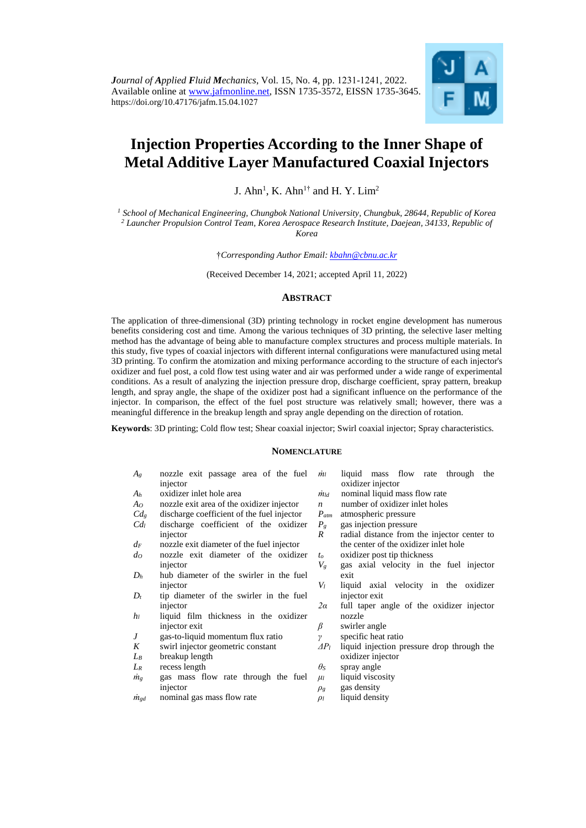

# **Injection Properties According to the Inner Shape of Metal Additive Layer Manufactured Coaxial Injectors**

J. Ahn<sup>1</sup>, K. Ahn<sup>1†</sup> and H. Y. Lim<sup>2</sup>

*<sup>1</sup> School of Mechanical Engineering, Chungbok National University, Chungbuk, 28644, Republic of Korea <sup>2</sup> Launcher Propulsion Control Team, Korea Aerospace Research Institute, Daejean, 34133, Republic of Korea*

†*Corresponding Author Email: [kbahn@cbnu.ac.kr](mailto:kbahn@cbnu.ac.kr)*

(Received December 14, 2021; accepted April 11*,* 2022)

# **ABSTRACT**

The application of three-dimensional (3D) printing technology in rocket engine development has numerous benefits considering cost and time. Among the various techniques of 3D printing, the selective laser melting method has the advantage of being able to manufacture complex structures and process multiple materials. In this study, five types of coaxial injectors with different internal configurations were manufactured using metal 3D printing. To confirm the atomization and mixing performance according to the structure of each injector's oxidizer and fuel post, a cold flow test using water and air was performed under a wide range of experimental conditions. As a result of analyzing the injection pressure drop, discharge coefficient, spray pattern, breakup length, and spray angle, the shape of the oxidizer post had a significant influence on the performance of the injector. In comparison, the effect of the fuel post structure was relatively small; however, there was a meaningful difference in the breakup length and spray angle depending on the direction of rotation.

**Keywords**: 3D printing; Cold flow test; Shear coaxial injector; Swirl coaxial injector; Spray characteristics.

## **NOMENCLATURE**

| $A_g$           | nozzle exit passage area of the fuel       | mı               | liquid mass flow rate<br>through<br>the     |  |
|-----------------|--------------------------------------------|------------------|---------------------------------------------|--|
|                 | injector                                   |                  | oxidizer injector                           |  |
| $A_h$           | oxidizer inlet hole area                   | $\dot{m}_{ld}$   | nominal liquid mass flow rate               |  |
| Ao              | nozzle exit area of the oxidizer injector  | $\boldsymbol{n}$ | number of oxidizer inlet holes              |  |
| $Cd_{g}$        | discharge coefficient of the fuel injector | $P_{atm}$        | atmospheric pressure                        |  |
| Cd <sub>l</sub> | discharge coefficient of the oxidizer      | $P_{g}$          | gas injection pressure                      |  |
|                 | injector                                   | R                | radial distance from the injector center to |  |
| $d_F$           | nozzle exit diameter of the fuel injector  |                  | the center of the oxidizer inlet hole       |  |
| $d$ o           | nozzle exit diameter of the oxidizer       | t <sub>o</sub>   | oxidizer post tip thickness                 |  |
|                 | injector                                   | $V_g$            | gas axial velocity in the fuel injector     |  |
| $D_h$           | hub diameter of the swirler in the fuel    |                  | exit                                        |  |
|                 | injector                                   | $V_l$            | liquid axial velocity in the oxidizer       |  |
| $D_t$           | tip diameter of the swirler in the fuel    |                  | injector exit                               |  |
|                 | injector                                   | 2a               | full taper angle of the oxidizer injector   |  |
| hı              | liquid film thickness in the oxidizer      |                  | nozzle                                      |  |
|                 | injector exit                              | β                | swirler angle                               |  |
| J               | gas-to-liquid momentum flux ratio          | $\gamma$         | specific heat ratio                         |  |
| K               | swirl injector geometric constant          | $\Delta P_l$     | liquid injection pressure drop through the  |  |
| $L_{B}$         | breakup length                             |                  | oxidizer injector                           |  |
| $L_R$           | recess length                              | $\theta$ s       | spray angle                                 |  |
| $\dot{m}_g$     | gas mass flow rate through the fuel        | $\mu$            | liquid viscosity                            |  |
|                 | injector                                   | $\rho_g$         | gas density                                 |  |
| $\dot{m}_{gd}$  | nominal gas mass flow rate                 | $\rho_l$         | liquid density                              |  |
|                 |                                            |                  |                                             |  |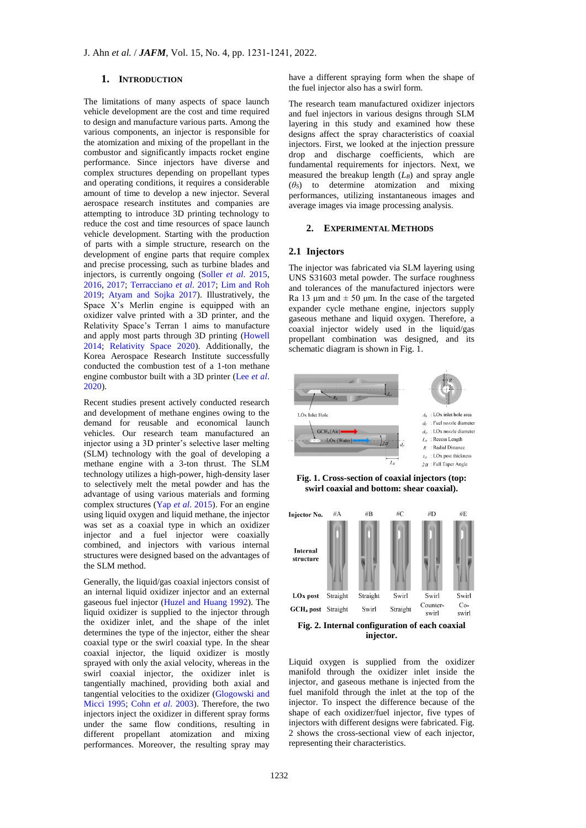# **1. INTRODUCTION**

The limitations of many aspects of space launch vehicle development are the cost and time required to design and manufacture various parts. Among the various components, an injector is responsible for the atomization and mixing of the propellant in the combustor and significantly impacts rocket engine performance. Since injectors have diverse and complex structures depending on propellant types and operating conditions, it requires a considerable amount of time to develop a new injector. Several aerospace research institutes and companies are attempting to introduce 3D printing technology to reduce the cost and time resources of space launch vehicle development. Starting with the production of parts with a simple structure, research on the development of engine parts that require complex and precise processing, such as turbine blades and injectors, is currently ongoing (Soller *et al*[. 2015,](#page-9-0) [2016,](#page-9-1) [2017;](#page-9-2) [Terracciano](#page-9-3) *et al*. 2017; [Lim and Roh](#page-9-4)  [2019;](#page-9-4) [Atyam and Sojka 2017\)](#page-9-5). Illustratively, the Space X's Merlin engine is equipped with an oxidizer valve printed with a 3D printer, and the Relativity Space's Terran 1 aims to manufacture and apply most parts through 3D printing [\(Howell](#page-9-6)  [2014;](#page-9-6) [Relativity Space 2020\)](#page-9-7). Additionally, the Korea Aerospace Research Institute successfully conducted the combustion test of a 1-ton methane engine combustor built with a 3D printer [\(Lee](#page-9-8) *et al*. [2020\)](#page-9-8).

Recent studies present actively conducted research and development of methane engines owing to the demand for reusable and economical launch vehicles. Our research team manufactured an injector using a 3D printer's selective laser melting (SLM) technology with the goal of developing a methane engine with a 3-ton thrust. The SLM technology utilizes a high-power, high-density laser to selectively melt the metal powder and has the advantage of using various materials and forming complex structures (Yap *et al*[. 2015\)](#page-10-0). For an engine using liquid oxygen and liquid methane, the injector was set as a coaxial type in which an oxidizer injector and a fuel injector were coaxially combined, and injectors with various internal structures were designed based on the advantages of the SLM method.

Generally, the liquid/gas coaxial injectors consist of an internal liquid oxidizer injector and an external gaseous fuel injector [\(Huzel and Huang 1992\)](#page-9-9). The liquid oxidizer is supplied to the injector through the oxidizer inlet, and the shape of the inlet determines the type of the injector, either the shear coaxial type or the swirl coaxial type. In the shear coaxial injector, the liquid oxidizer is mostly sprayed with only the axial velocity, whereas in the swirl coaxial injector, the oxidizer inlet is tangentially machined, providing both axial and tangential velocities to the oxidizer [\(Glogowski and](#page-9-10)  [Micci 1995;](#page-9-10) Cohn *et al*[. 2003\)](#page-9-11). Therefore, the two injectors inject the oxidizer in different spray forms under the same flow conditions, resulting in different propellant atomization and mixing performances. Moreover, the resulting spray may

have a different spraying form when the shape of the fuel injector also has a swirl form.

The research team manufactured oxidizer injectors and fuel injectors in various designs through SLM layering in this study and examined how these designs affect the spray characteristics of coaxial injectors. First, we looked at the injection pressure drop and discharge coefficients, which are fundamental requirements for injectors. Next, we measured the breakup length  $(L_B)$  and spray angle (*θS*) to determine atomization and mixing performances, utilizing instantaneous images and average images via image processing analysis.

#### **2. EXPERIMENTAL METHODS**

# **2.1 Injectors**

The injector was fabricated via SLM layering using UNS S31603 metal powder. The surface roughness and tolerances of the manufactured injectors were Ra 13 μm and  $\pm$  50 μm. In the case of the targeted expander cycle methane engine, injectors supply gaseous methane and liquid oxygen. Therefore, a coaxial injector widely used in the liquid/gas propellant combination was designed, and its schematic diagram is shown in Fig. 1.



**Fig. 1. Cross-section of coaxial injectors (top: swirl coaxial and bottom: shear coaxial).**



**Fig. 2. Internal configuration of each coaxial injector.**

Liquid oxygen is supplied from the oxidizer manifold through the oxidizer inlet inside the injector, and gaseous methane is injected from the fuel manifold through the inlet at the top of the injector. To inspect the difference because of the shape of each oxidizer/fuel injector, five types of injectors with different designs were fabricated. Fig. 2 shows the cross-sectional view of each injector, representing their characteristics.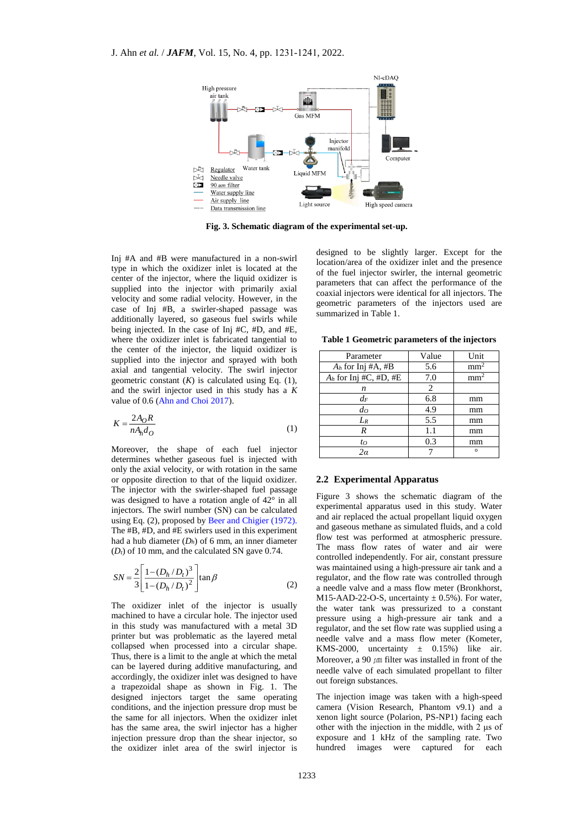

**Fig. 3. Schematic diagram of the experimental set-up.**

Inj #A and #B were manufactured in a non-swirl type in which the oxidizer inlet is located at the center of the injector, where the liquid oxidizer is supplied into the injector with primarily axial velocity and some radial velocity. However, in the case of Inj #B, a swirler-shaped passage was additionally layered, so gaseous fuel swirls while being injected. In the case of Inj #C, #D, and #E, where the oxidizer inlet is fabricated tangential to the center of the injector, the liquid oxidizer is supplied into the injector and sprayed with both axial and tangential velocity. The swirl injector geometric constant  $(K)$  is calculated using Eq.  $(1)$ , and the swirl injector used in this study has a *K* value of 0.6 [\(Ahn and Choi 2017\)](#page-8-0).

$$
K = \frac{2A_O R}{nA_h d_O} \tag{1}
$$

Moreover, the shape of each fuel injector determines whether gaseous fuel is injected with only the axial velocity, or with rotation in the same or opposite direction to that of the liquid oxidizer. The injector with the swirler-shaped fuel passage was designed to have a rotation angle of 42° in all injectors. The swirl number (SN) can be calculated using Eq. (2), proposed b[y Beer and Chigier \(1972\).](#page-9-12) The #B, #D, and #E swirlers used in this experiment had a hub diameter (*Dh*) of 6 mm, an inner diameter  $(D_t)$  of 10 mm, and the calculated SN gave 0.74.

$$
SN = \frac{2}{3} \left[ \frac{1 - (D_h/D_t)^3}{1 - (D_h/D_t)^2} \right] \tan \beta
$$
 (2)

 $\sim$ 

The oxidizer inlet of the injector is usually machined to have a circular hole. The injector used in this study was manufactured with a metal 3D printer but was problematic as the layered metal collapsed when processed into a circular shape. Thus, there is a limit to the angle at which the metal can be layered during additive manufacturing, and accordingly, the oxidizer inlet was designed to have a trapezoidal shape as shown in Fig. 1. The designed injectors target the same operating conditions, and the injection pressure drop must be the same for all injectors. When the oxidizer inlet has the same area, the swirl injector has a higher injection pressure drop than the shear injector, so the oxidizer inlet area of the swirl injector is

designed to be slightly larger. Except for the location/area of the oxidizer inlet and the presence of the fuel injector swirler, the internal geometric parameters that can affect the performance of the coaxial injectors were identical for all injectors. The geometric parameters of the injectors used are summarized in Table 1.

**Table 1 Geometric parameters of the injectors**

| Parameter                | Value | Unit            |
|--------------------------|-------|-----------------|
| $A_h$ for Inj #A, #B     | 5.6   | mm <sup>2</sup> |
| $A_h$ for Inj #C, #D, #E | 7.0   | mm <sup>2</sup> |
| n                        | 2     |                 |
| $d_F$                    | 6.8   | mm              |
| d <sub>O</sub>           | 4.9   | mm              |
| $L_R$                    | 5.5   | mm              |
| R                        | 1.1   | mm              |
| to                       | 0.3   | mm              |
| 2α                       |       | O               |

# **2.2 Experimental Apparatus**

Figure 3 shows the schematic diagram of the experimental apparatus used in this study. Water and air replaced the actual propellant liquid oxygen and gaseous methane as simulated fluids, and a cold flow test was performed at atmospheric pressure. The mass flow rates of water and air were controlled independently. For air, constant pressure was maintained using a high-pressure air tank and a regulator, and the flow rate was controlled through a needle valve and a mass flow meter (Bronkhorst, M15-AAD-22-O-S, uncertainty  $\pm$  0.5%). For water, the water tank was pressurized to a constant pressure using a high-pressure air tank and a regulator, and the set flow rate was supplied using a needle valve and a mass flow meter (Kometer, KMS-2000, uncertainty  $\pm$  0.15%) like air. Moreover, a 90  $\mu$ m filter was installed in front of the needle valve of each simulated propellant to filter out foreign substances.

The injection image was taken with a high-speed camera (Vision Research, Phantom v9.1) and a xenon light source (Polarion, PS-NP1) facing each other with the injection in the middle, with 2 μs of exposure and 1 kHz of the sampling rate. Two hundred images were captured for each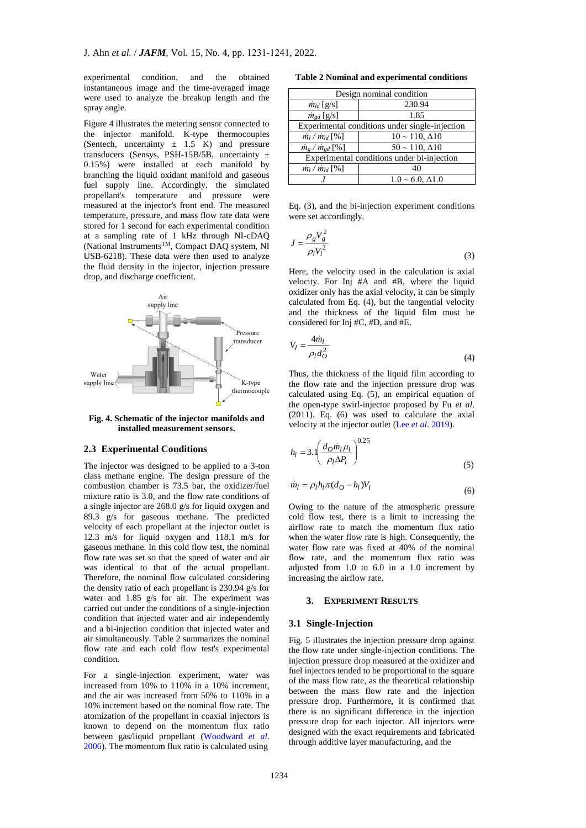experimental condition, and the obtained instantaneous image and the time-averaged image were used to analyze the breakup length and the spray angle.

Figure 4 illustrates the metering sensor connected to the injector manifold. K-type thermocouples (Sentech, uncertainty  $\pm$  1.5 K) and pressure transducers (Sensys, PSH-15B/5B, uncertainty  $\pm$ 0.15%) were installed at each manifold by branching the liquid oxidant manifold and gaseous fuel supply line. Accordingly, the simulated propellant's temperature and pressure were measured at the injector's front end. The measured temperature, pressure, and mass flow rate data were stored for 1 second for each experimental condition at a sampling rate of 1 kHz through NI-cDAQ (National InstrumentsTM, Compact DAQ system, NI USB-6218). These data were then used to analyze the fluid density in the injector, injection pressure drop, and discharge coefficient.



**Fig. 4. Schematic of the injector manifolds and installed measurement sensors.**

# **2.3 Experimental Conditions**

The injector was designed to be applied to a 3-ton class methane engine. The design pressure of the combustion chamber is 73.5 bar, the oxidizer/fuel mixture ratio is 3.0, and the flow rate conditions of a single injector are 268.0 g/s for liquid oxygen and 89.3 g/s for gaseous methane. The predicted velocity of each propellant at the injector outlet is 12.3 m/s for liquid oxygen and 118.1 m/s for gaseous methane. In this cold flow test, the nominal flow rate was set so that the speed of water and air was identical to that of the actual propellant. Therefore, the nominal flow calculated considering the density ratio of each propellant is 230.94 g/s for water and 1.85 g/s for air. The experiment was carried out under the conditions of a single-injection condition that injected water and air independently and a bi-injection condition that injected water and air simultaneously. Table 2 summarizes the nominal flow rate and each cold flow test's experimental condition.

For a single-injection experiment, water was increased from 10% to 110% in a 10% increment, and the air was increased from 50% to 110% in a 10% increment based on the nominal flow rate. The atomization of the propellant in coaxial injectors is known to depend on the momentum flux ratio between gas/liquid propellant [\(Woodward](#page-10-1) *et al*. [2006\)](#page-10-1). The momentum flux ratio is calculated using

**Table 2 Nominal and experimental conditions**

| Design nominal condition                       |                            |  |  |
|------------------------------------------------|----------------------------|--|--|
| $\dot{m}_{ld}$ [g/s]                           | 230.94                     |  |  |
| $\dot{m}_{gd}$ [g/s]                           | 1.85                       |  |  |
| Experimental conditions under single-injection |                            |  |  |
| $\dot{m}_l / \dot{m}_{ld}$ [%]                 | $10 \sim 110, \Delta 10$   |  |  |
| $\dot{m}_g / \dot{m}_{gd}$ [%]                 | $50 \sim 110, \Delta 10$   |  |  |
| Experimental conditions under bi-injection     |                            |  |  |
| $\dot{m}_l / \dot{m}_{ld}$ [%]                 | 40                         |  |  |
|                                                | $1.0 \sim 6.0, \Delta 1.0$ |  |  |

Eq. (3), and the bi-injection experiment conditions were set accordingly.

$$
J = \frac{\rho_g V_g^2}{\rho_l V_l^2} \tag{3}
$$

Here, the velocity used in the calculation is axial velocity. For Inj #A and #B, where the liquid oxidizer only has the axial velocity, it can be simply calculated from Eq. (4), but the tangential velocity and the thickness of the liquid film must be considered for Inj #C, #D, and #E.

$$
V_l = \frac{4\dot{m}_l}{\rho_l d_O^2} \tag{4}
$$

Thus, the thickness of the liquid film according to the flow rate and the injection pressure drop was calculated using Eq. (5), an empirical equation of the open-type swirl-injector proposed by Fu *et al*. (2011). Eq. (6) was used to calculate the axial velocity at the injector outlet (Lee *et al*[. 2019\)](#page-9-13).

$$
h_l = 3.1 \left( \frac{d_O \dot{m}_l \mu_l}{\rho_l \Delta P_l} \right)^{0.25} \tag{5}
$$

$$
\dot{m}_l = \rho_l h_l \pi (d_O - h_l) V_l \tag{6}
$$

Owing to the nature of the atmospheric pressure cold flow test, there is a limit to increasing the airflow rate to match the momentum flux ratio when the water flow rate is high. Consequently, the water flow rate was fixed at 40% of the nominal flow rate, and the momentum flux ratio was adjusted from 1.0 to 6.0 in a 1.0 increment by increasing the airflow rate.

### **3. EXPERIMENT RESULTS**

#### **3.1 Single-Injection**

Fig. 5 illustrates the injection pressure drop against the flow rate under single-injection conditions. The injection pressure drop measured at the oxidizer and fuel injectors tended to be proportional to the square of the mass flow rate, as the theoretical relationship between the mass flow rate and the injection pressure drop. Furthermore, it is confirmed that there is no significant difference in the injection pressure drop for each injector. All injectors were designed with the exact requirements and fabricated through additive layer manufacturing, and the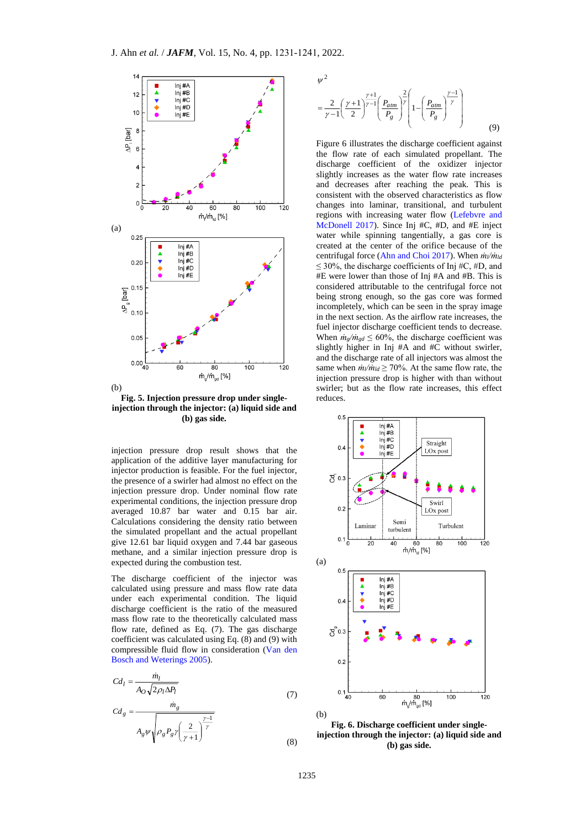

**Fig. 5. Injection pressure drop under singleinjection through the injector: (a) liquid side and (b) gas side.**

injection pressure drop result shows that the application of the additive layer manufacturing for injector production is feasible. For the fuel injector, the presence of a swirler had almost no effect on the injection pressure drop. Under nominal flow rate experimental conditions, the injection pressure drop averaged 10.87 bar water and 0.15 bar air. Calculations considering the density ratio between the simulated propellant and the actual propellant give 12.61 bar liquid oxygen and 7.44 bar gaseous methane, and a similar injection pressure drop is expected during the combustion test.

The discharge coefficient of the injector was calculated using pressure and mass flow rate data under each experimental condition. The liquid discharge coefficient is the ratio of the measured mass flow rate to the theoretically calculated mass flow rate, defined as Eq. (7). The gas discharge coefficient was calculated using Eq. (8) and (9) with compressible fluid flow in consideration [\(Van den](#page-9-14)  Bosch [and Weterings 2005\)](#page-9-14).

$$
Cd_l = \frac{m_l}{A_O \sqrt{2\rho_l \Delta P_l}}
$$
\n(7)

$$
Cd_g = \frac{m_g}{A_g \psi \sqrt{\rho_g P_g \gamma \left(\frac{2}{\gamma + 1}\right)^{\frac{\gamma - 1}{\gamma}}}}
$$

$$
\psi^{2} = \frac{2}{\gamma - 1} \left( \frac{\gamma + 1}{2} \right)^{\frac{\gamma + 1}{\gamma - 1}} \left( \frac{P_{atm}}{P_{g}} \right)^{\frac{2}{\gamma}} \left( 1 - \left( \frac{P_{atm}}{P_{g}} \right)^{\frac{\gamma - 1}{\gamma}} \right)
$$
(9)

Figure 6 illustrates the discharge coefficient against the flow rate of each simulated propellant. The discharge coefficient of the oxidizer injector slightly increases as the water flow rate increases and decreases after reaching the peak. This is consistent with the observed characteristics as flow changes into laminar, transitional, and turbulent regions with increasing water flow [\(Lefebvre and](#page-9-15)  [McDonell 2017\)](#page-9-15). Since Inj #C, #D, and #E inject water while spinning tangentially, a gas core is created at the center of the orifice because of the centrifugal force [\(Ahn and Choi 2017\)](#page-8-0). When *ṁl/ṁld*  $\leq$  30%, the discharge coefficients of Inj #C, #D, and #E were lower than those of Inj #A and #B. This is considered attributable to the centrifugal force not being strong enough, so the gas core was formed incompletely, which can be seen in the spray image in the next section. As the airflow rate increases, the fuel injector discharge coefficient tends to decrease. When  $\dot{m}_g / \dot{m}_{gd} \leq 60\%$ , the discharge coefficient was slightly higher in Inj #A and #C without swirler, and the discharge rate of all injectors was almost the same when  $\dot{m}/\dot{m}_{ld} \ge 70\%$ . At the same flow rate, the injection pressure drop is higher with than without swirler; but as the flow rate increases, this effect reduces.



**Fig. 6. Discharge coefficient under singleinjection through the injector: (a) liquid side and (b) gas side.**

(8)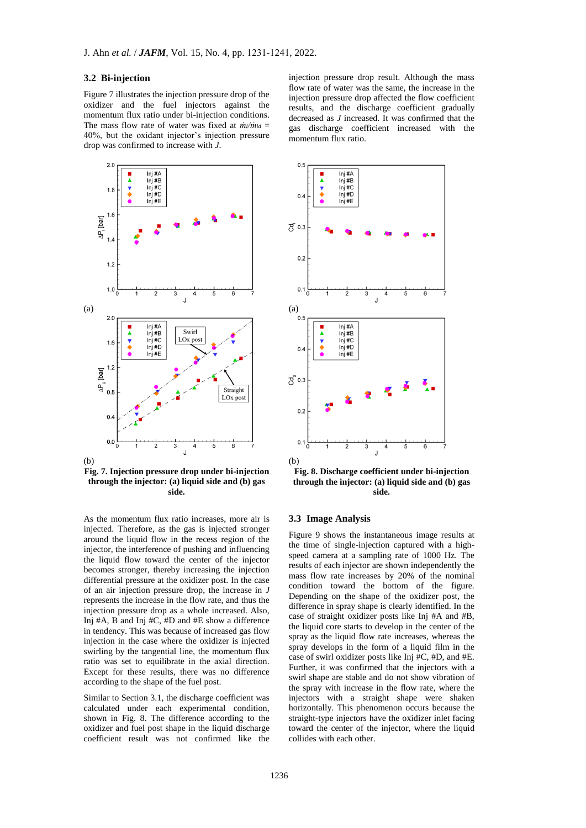#### **3.2 Bi-injection**

Figure 7 illustrates the injection pressure drop of the oxidizer and the fuel injectors against the momentum flux ratio under bi-injection conditions. The mass flow rate of water was fixed at  $\dot{m}/\dot{m}_{ld}$  = 40%, but the oxidant injector's injection pressure drop was confirmed to increase with *J*.



 $(h)$ 

**Fig. 7. Injection pressure drop under bi-injection through the injector: (a) liquid side and (b) gas side.**

As the momentum flux ratio increases, more air is injected. Therefore, as the gas is injected stronger around the liquid flow in the recess region of the injector, the interference of pushing and influencing the liquid flow toward the center of the injector becomes stronger, thereby increasing the injection differential pressure at the oxidizer post. In the case of an air injection pressure drop, the increase in *J* represents the increase in the flow rate, and thus the injection pressure drop as a whole increased. Also, Inj #A, B and Inj #C, #D and #E show a difference in tendency. This was because of increased gas flow injection in the case where the oxidizer is injected swirling by the tangential line, the momentum flux ratio was set to equilibrate in the axial direction. Except for these results, there was no difference according to the shape of the fuel post.

Similar to Section 3.1, the discharge coefficient was calculated under each experimental condition, shown in Fig. 8. The difference according to the oxidizer and fuel post shape in the liquid discharge coefficient result was not confirmed like the

injection pressure drop result. Although the mass flow rate of water was the same, the increase in the injection pressure drop affected the flow coefficient results, and the discharge coefficient gradually decreased as *J* increased. It was confirmed that the gas discharge coefficient increased with the momentum flux ratio.



**Fig. 8. Discharge coefficient under bi-injection through the injector: (a) liquid side and (b) gas side.**

#### **3.3 Image Analysis**

Figure 9 shows the instantaneous image results at the time of single-injection captured with a highspeed camera at a sampling rate of 1000 Hz. The results of each injector are shown independently the mass flow rate increases by 20% of the nominal condition toward the bottom of the figure. Depending on the shape of the oxidizer post, the difference in spray shape is clearly identified. In the case of straight oxidizer posts like Inj #A and #B, the liquid core starts to develop in the center of the spray as the liquid flow rate increases, whereas the spray develops in the form of a liquid film in the case of swirl oxidizer posts like Inj #C, #D, and #E. Further, it was confirmed that the injectors with a swirl shape are stable and do not show vibration of the spray with increase in the flow rate, where the injectors with a straight shape were shaken horizontally. This phenomenon occurs because the straight-type injectors have the oxidizer inlet facing toward the center of the injector, where the liquid collides with each other.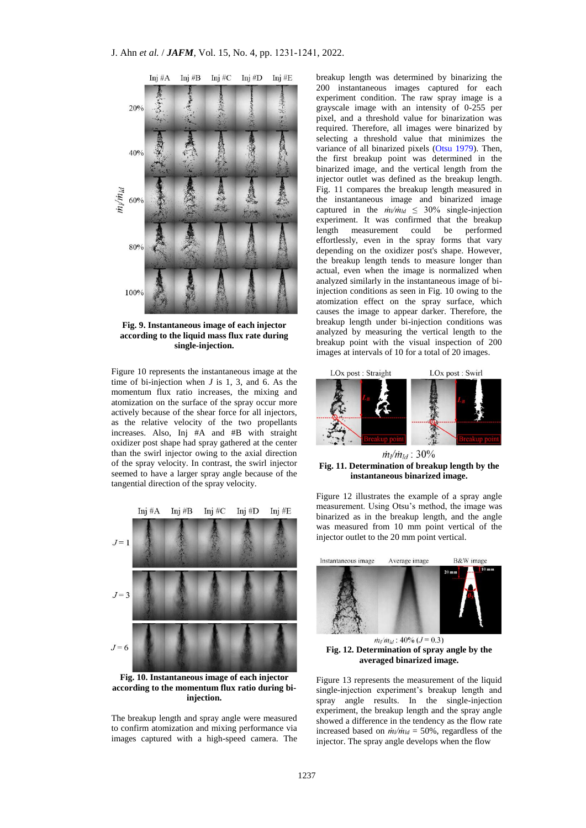

**Fig. 9. Instantaneous image of each injector according to the liquid mass flux rate during single-injection.**

Figure 10 represents the instantaneous image at the time of bi-injection when *J* is 1, 3, and 6. As the momentum flux ratio increases, the mixing and atomization on the surface of the spray occur more actively because of the shear force for all injectors, as the relative velocity of the two propellants increases. Also, Inj #A and #B with straight oxidizer post shape had spray gathered at the center than the swirl injector owing to the axial direction of the spray velocity. In contrast, the swirl injector seemed to have a larger spray angle because of the tangential direction of the spray velocity.



**Fig. 10. Instantaneous image of each injector according to the momentum flux ratio during biinjection.**

The breakup length and spray angle were measured to confirm atomization and mixing performance via images captured with a high-speed camera. The

breakup length was determined by binarizing the 200 instantaneous images captured for each experiment condition. The raw spray image is a grayscale image with an intensity of 0-255 per pixel, and a threshold value for binarization was required. Therefore, all images were binarized by selecting a threshold value that minimizes the variance of all binarized pixels [\(Otsu 1979\)](#page-9-16). Then, the first breakup point was determined in the binarized image, and the vertical length from the injector outlet was defined as the breakup length. Fig. 11 compares the breakup length measured in the instantaneous image and binarized image captured in the  $\dot{m}/\dot{m}$ <sup>*d*</sup> ≤ 30% single-injection experiment. It was confirmed that the breakup length measurement could be performed effortlessly, even in the spray forms that vary depending on the oxidizer post's shape. However, the breakup length tends to measure longer than actual, even when the image is normalized when analyzed similarly in the instantaneous image of biinjection conditions as seen in Fig. 10 owing to the atomization effect on the spray surface, which causes the image to appear darker. Therefore, the breakup length under bi-injection conditions was analyzed by measuring the vertical length to the breakup point with the visual inspection of 200 images at intervals of 10 for a total of 20 images.



 $\dot{m}_{l}/\dot{m}_{ld}$ : 30% **Fig. 11. Determination of breakup length by the instantaneous binarized image.**

Figure 12 illustrates the example of a spray angle measurement. Using Otsu's method, the image was binarized as in the breakup length, and the angle was measured from 10 mm point vertical of the injector outlet to the 20 mm point vertical.



 $m_l/m_{ld}$ : 40% ( $J = 0.3$ ) **Fig. 12. Determination of spray angle by the averaged binarized image.**

Figure 13 represents the measurement of the liquid single-injection experiment's breakup length and spray angle results. In the single-injection experiment, the breakup length and the spray angle showed a difference in the tendency as the flow rate increased based on *ṁl/ṁld* = 50%, regardless of the injector. The spray angle develops when the flow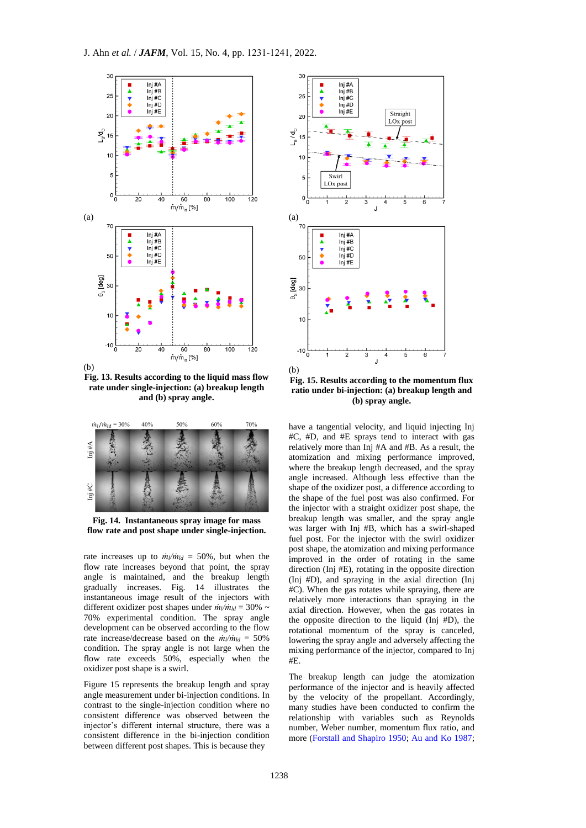

(b)

**Fig. 13. Results according to the liquid mass flow rate under single-injection: (a) breakup length and (b) spray angle.**



**Fig. 14. Instantaneous spray image for mass flow rate and post shape under single-injection.**

rate increases up to  $\dot{m}/\dot{m}_{ld} = 50\%$ , but when the flow rate increases beyond that point, the spray angle is maintained, and the breakup length gradually increases. Fig. 14 illustrates the instantaneous image result of the injectors with different oxidizer post shapes under *ṁl/ṁld* = 30% ~ 70% experimental condition. The spray angle development can be observed according to the flow rate increase/decrease based on the  $\dot{m}/\dot{m}$ *ld* = 50% condition. The spray angle is not large when the flow rate exceeds 50%, especially when the oxidizer post shape is a swirl.

Figure 15 represents the breakup length and spray angle measurement under bi-injection conditions. In contrast to the single-injection condition where no consistent difference was observed between the injector's different internal structure, there was a consistent difference in the bi-injection condition between different post shapes. This is because they



**Fig. 15. Results according to the momentum flux ratio under bi-injection: (a) breakup length and (b) spray angle.**

have a tangential velocity, and liquid injecting Inj #C, #D, and #E sprays tend to interact with gas relatively more than Inj #A and #B. As a result, the atomization and mixing performance improved, where the breakup length decreased, and the spray angle increased. Although less effective than the shape of the oxidizer post, a difference according to the shape of the fuel post was also confirmed. For the injector with a straight oxidizer post shape, the breakup length was smaller, and the spray angle was larger with Inj #B, which has a swirl-shaped fuel post. For the injector with the swirl oxidizer post shape, the atomization and mixing performance improved in the order of rotating in the same direction (Inj #E), rotating in the opposite direction (Inj #D), and spraying in the axial direction (Inj #C). When the gas rotates while spraying, there are relatively more interactions than spraying in the axial direction. However, when the gas rotates in the opposite direction to the liquid (Inj #D), the rotational momentum of the spray is canceled, lowering the spray angle and adversely affecting the mixing performance of the injector, compared to Inj #E.

The breakup length can judge the atomization performance of the injector and is heavily affected by the velocity of the propellant. Accordingly, many studies have been conducted to confirm the relationship with variables such as Reynolds number, Weber number, momentum flux ratio, and more [\(Forstall and Shapiro 1950;](#page-9-17) [Au and Ko 1987;](#page-9-18)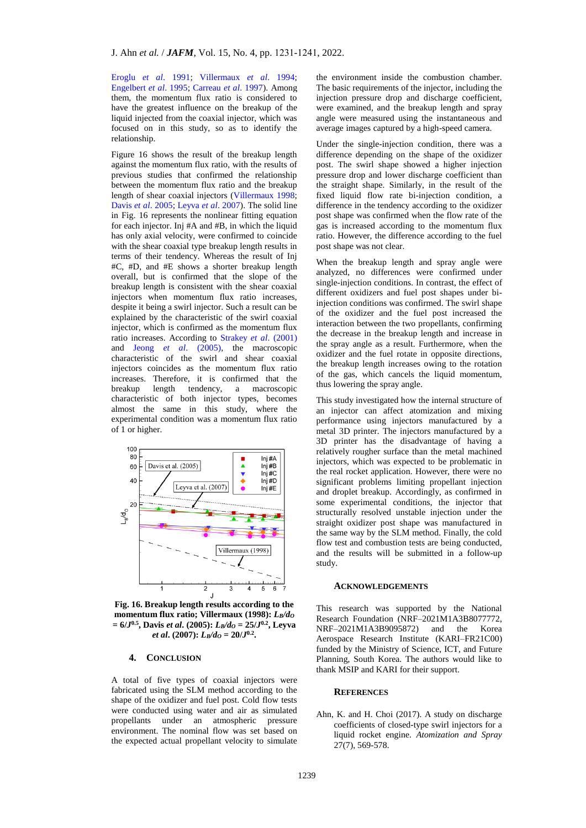Eroglu *et al*[. 1991;](#page-9-19) [Villermaux](#page-10-2) *et al*. 1994; [Engelbert](#page-9-20) *et al*. 1995; [Carreau](#page-9-21) *et al*. 1997). Among them, the momentum flux ratio is considered to have the greatest influence on the breakup of the liquid injected from the coaxial injector, which was focused on in this study, so as to identify the relationship.

Figure 16 shows the result of the breakup length against the momentum flux ratio, with the results of previous studies that confirmed the relationship between the momentum flux ratio and the breakup length of shear coaxial injectors [\(Villermaux 1998;](#page-10-3) Davis *et al*[. 2005;](#page-9-22) [Leyva](#page-9-23) *et al*. 2007). The solid line in Fig. 16 represents the nonlinear fitting equation for each injector. Inj #A and #B, in which the liquid has only axial velocity, were confirmed to coincide with the shear coaxial type breakup length results in terms of their tendency. Whereas the result of Inj #C, #D, and #E shows a shorter breakup length overall, but is confirmed that the slope of the breakup length is consistent with the shear coaxial injectors when momentum flux ratio increases, despite it being a swirl injector. Such a result can be explained by the characteristic of the swirl coaxial injector, which is confirmed as the momentum flux ratio increases. According to [Strakey](#page-9-24) *et al*. (2001) and Jeong *et al*[. \(2005\),](#page-9-25) the macroscopic characteristic of the swirl and shear coaxial injectors coincides as the momentum flux ratio increases. Therefore, it is confirmed that the breakup length tendency, a macroscopic characteristic of both injector types, becomes almost the same in this study, where the experimental condition was a momentum flux ratio of 1 or higher.



**Fig. 16. Breakup length results according to the momentum flux ratio; Villermaux (1998):** *LB/d<sup>O</sup>* **= 6/***J* **0.5, Davis** *et al***. (2005):** *LB/d<sup>O</sup>* **= 25/***J* **0.2, Leyva**  *et al***. (2007):** *LB/d<sup>O</sup>* **= 20/***J* **0.2 .**

# **4. CONCLUSION**

A total of five types of coaxial injectors were fabricated using the SLM method according to the shape of the oxidizer and fuel post. Cold flow tests were conducted using water and air as simulated propellants under an atmospheric pressure environment. The nominal flow was set based on the expected actual propellant velocity to simulate

the environment inside the combustion chamber. The basic requirements of the injector, including the injection pressure drop and discharge coefficient, were examined, and the breakup length and spray angle were measured using the instantaneous and average images captured by a high-speed camera.

Under the single-injection condition, there was a difference depending on the shape of the oxidizer post. The swirl shape showed a higher injection pressure drop and lower discharge coefficient than the straight shape. Similarly, in the result of the fixed liquid flow rate bi-injection condition, a difference in the tendency according to the oxidizer post shape was confirmed when the flow rate of the gas is increased according to the momentum flux ratio. However, the difference according to the fuel post shape was not clear.

When the breakup length and spray angle were analyzed, no differences were confirmed under single-injection conditions. In contrast, the effect of different oxidizers and fuel post shapes under biinjection conditions was confirmed. The swirl shape of the oxidizer and the fuel post increased the interaction between the two propellants, confirming the decrease in the breakup length and increase in the spray angle as a result. Furthermore, when the oxidizer and the fuel rotate in opposite directions, the breakup length increases owing to the rotation of the gas, which cancels the liquid momentum, thus lowering the spray angle.

This study investigated how the internal structure of an injector can affect atomization and mixing performance using injectors manufactured by a metal 3D printer. The injectors manufactured by a 3D printer has the disadvantage of having a relatively rougher surface than the metal machined injectors, which was expected to be problematic in the real rocket application. However, there were no significant problems limiting propellant injection and droplet breakup. Accordingly, as confirmed in some experimental conditions, the injector that structurally resolved unstable injection under the straight oxidizer post shape was manufactured in the same way by the SLM method. Finally, the cold flow test and combustion tests are being conducted, and the results will be submitted in a follow-up study.

## **ACKNOWLEDGEMENTS**

This research was supported by the National Research Foundation (NRF–2021M1A3B8077772, NRF–2021M1A3B9095872) and the Korea Aerospace Research Institute (KARI–FR21C00) funded by the Ministry of Science, ICT, and Future Planning, South Korea. The authors would like to thank MSIP and KARI for their support.

#### **REFERENCES**

<span id="page-8-0"></span>Ahn, K. and H. Choi (2017). A study on discharge coefficients of closed-type swirl injectors for a liquid rocket engine. *Atomization and Spray* 27(7), 569-578.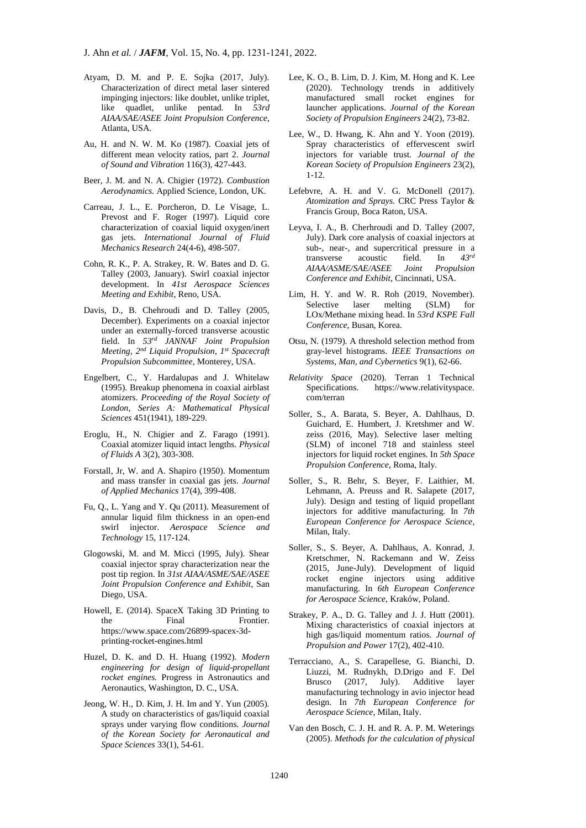- <span id="page-9-5"></span>Atyam, D. M. and P. E. Sojka (2017, July). Characterization of direct metal laser sintered impinging injectors: like doublet, unlike triplet, like quadlet, unlike pentad. In *53rd AIAA/SAE/ASEE Joint Propulsion Conference*, Atlanta, USA.
- <span id="page-9-18"></span>Au, H. and N. W. M. Ko (1987). Coaxial jets of different mean velocity ratios, part 2. *Journal of Sound and Vibration* 116(3), 427-443.
- <span id="page-9-12"></span>Beer, J. M. and N. A. Chigier (1972). *Combustion Aerodynamics.* Applied Science, London, UK.
- <span id="page-9-21"></span>Carreau, J. L., E. Porcheron, D. Le Visage, L. Prevost and F. Roger (1997). Liquid core characterization of coaxial liquid oxygen/inert gas jets. *International Journal of Fluid Mechanics Research* 24(4-6), 498-507.
- <span id="page-9-11"></span>Cohn, R. K., P. A. Strakey, R. W. Bates and D. G. Talley (2003, January). Swirl coaxial injector development. In *41st Aerospace Sciences Meeting and Exhibit*, Reno, USA.
- <span id="page-9-22"></span>Davis, D., B. Chehroudi and D. Talley (2005, December). Experiments on a coaxial injector under an externally-forced transverse acoustic field. In *53rd JANNAF Joint Propulsion Meeting, 2nd Liquid Propulsion, 1st Spacecraft Propulsion Subcommittee*, Monterey, USA.
- <span id="page-9-20"></span>Engelbert, C., Y. Hardalupas and J. Whitelaw (1995). Breakup phenomena in coaxial airblast atomizers. *Proceeding of the Royal Society of London, Series A: Mathematical Physical Sciences* 451(1941), 189-229.
- <span id="page-9-19"></span>Eroglu, H., N. Chigier and Z. Farago (1991). Coaxial atomizer liquid intact lengths. *Physical of Fluids A* 3(2), 303-308.
- <span id="page-9-17"></span>Forstall, Jr, W. and A. Shapiro (1950). Momentum and mass transfer in coaxial gas jets. *Journal of Applied Mechanics* 17(4), 399-408.
- Fu, Q., L. Yang and Y. Qu (2011). Measurement of annular liquid film thickness in an open-end swirl injector. *Aerospace Science and Technology* 15, 117-124.
- <span id="page-9-10"></span>Glogowski, M. and M. Micci (1995, July). Shear coaxial injector spray characterization near the post tip region. In *31st AIAA/ASME/SAE/ASEE Joint Propulsion Conference and Exhibit*, San Diego, USA.
- <span id="page-9-6"></span>Howell, E. (2014). SpaceX Taking 3D Printing to the Final Frontier. https://www.space.com/26899-spacex-3dprinting-rocket-engines.html
- <span id="page-9-9"></span>Huzel, D. K. and D. H. Huang (1992). *Modern engineering for design of liquid-propellant rocket engines.* Progress in Astronautics and Aeronautics, Washington, D. C., USA.
- <span id="page-9-25"></span>Jeong, W. H., D. Kim, J. H. Im and Y. Yun (2005). A study on characteristics of gas/liquid coaxial sprays under varying flow conditions. *Journal of the Korean Society for Aeronautical and Space Sciences* 33(1), 54-61.
- <span id="page-9-8"></span>Lee, K. O., B. Lim, D. J. Kim, M. Hong and K. Lee (2020). Technology trends in additively manufactured small rocket engines for launcher applications. *Journal of the Korean Society of Propulsion Engineers* 24(2), 73-82.
- <span id="page-9-13"></span>Lee, W., D. Hwang, K. Ahn and Y. Yoon (2019). Spray characteristics of effervescent swirl injectors for variable trust. *Journal of the Korean Society of Propulsion Engineers* 23(2), 1-12.
- <span id="page-9-15"></span>Lefebvre, A. H. and V. G. McDonell (2017). *Atomization and Sprays.* CRC Press Taylor & Francis Group, Boca Raton, USA.
- <span id="page-9-23"></span>Leyva, I. A., B. Cherhroudi and D. Talley (2007, July). Dark core analysis of coaxial injectors at sub-, near-, and supercritical pressure in a transverse acoustic field. In  $43^{rd}$ transverse acoustic field. In *AIAA/ASME/SAE/ASEE Joint Propulsion Conference and Exhibit*, Cincinnati, USA.
- <span id="page-9-4"></span>Lim, H. Y. and W. R. Roh (2019, November). Selective laser melting (SLM) for LOx/Methane mixing head. In *53rd KSPE Fall Conference*, Busan, Korea.
- <span id="page-9-16"></span>Otsu, N. (1979). A threshold selection method from gray-level histograms. *IEEE Transactions on Systems, Man, and Cybernetics* 9(1), 62-66.
- <span id="page-9-7"></span>*Relativity Space* (2020). Terran 1 Technical Specifications. https://www.relativityspace. com/terran
- <span id="page-9-1"></span>Soller, S., A. Barata, S. Beyer, A. Dahlhaus, D. Guichard, E. Humbert, J. Kretshmer and W. zeiss (2016, May). Selective laser melting (SLM) of inconel 718 and stainless steel injectors for liquid rocket engines. In *5th Space Propulsion Conference*, Roma, Italy.
- <span id="page-9-2"></span>Soller, S., R. Behr, S. Beyer, F. Laithier, M. Lehmann, A. Preuss and R. Salapete (2017, July). Design and testing of liquid propellant injectors for additive manufacturing. In *7th European Conference for Aerospace Science*, Milan, Italy.
- <span id="page-9-0"></span>Soller, S., S. Beyer, A. Dahlhaus, A. Konrad, J. Kretschmer, N. Rackemann and W. Zeiss (2015, June-July). Development of liquid rocket engine injectors using additive manufacturing. In *6th European Conference for Aerospace Science*, Kraków, Poland.
- <span id="page-9-24"></span>Strakey, P. A., D. G. Talley and J. J. Hutt (2001). Mixing characteristics of coaxial injectors at high gas/liquid momentum ratios. *Journal of Propulsion and Power* 17(2), 402-410.
- <span id="page-9-3"></span>Terracciano, A., S. Carapellese, G. Bianchi, D. Liuzzi, M. Rudnykh, D.Drigo and F. Del Brusco (2017, July). Additive layer manufacturing technology in avio injector head design. In *7th European Conference for Aerospace Science*, Milan, Italy.
- <span id="page-9-14"></span>Van den Bosch, C. J. H. and R. A. P. M. Weterings (2005). *Methods for the calculation of physical*